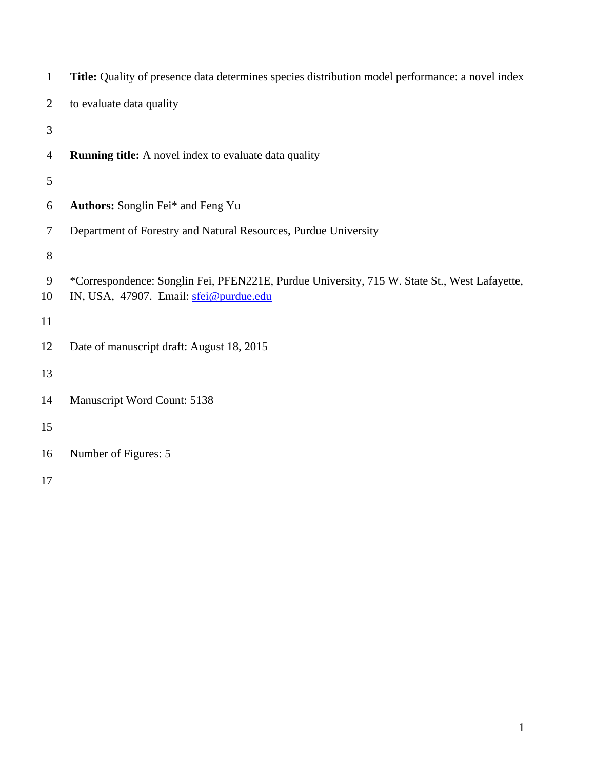| $\mathbf{1}$   | Title: Quality of presence data determines species distribution model performance: a novel index                                       |  |  |  |  |  |
|----------------|----------------------------------------------------------------------------------------------------------------------------------------|--|--|--|--|--|
| $\overline{2}$ | to evaluate data quality                                                                                                               |  |  |  |  |  |
| 3              |                                                                                                                                        |  |  |  |  |  |
| 4              | <b>Running title:</b> A novel index to evaluate data quality                                                                           |  |  |  |  |  |
| 5              |                                                                                                                                        |  |  |  |  |  |
| 6              | Authors: Songlin Fei* and Feng Yu                                                                                                      |  |  |  |  |  |
| 7              | Department of Forestry and Natural Resources, Purdue University                                                                        |  |  |  |  |  |
| $8\,$          |                                                                                                                                        |  |  |  |  |  |
| 9<br>10        | *Correspondence: Songlin Fei, PFEN221E, Purdue University, 715 W. State St., West Lafayette,<br>IN, USA, 47907. Email: sfei@purdue.edu |  |  |  |  |  |
| 11             |                                                                                                                                        |  |  |  |  |  |
| 12             | Date of manuscript draft: August 18, 2015                                                                                              |  |  |  |  |  |
| 13             |                                                                                                                                        |  |  |  |  |  |
| 14             | Manuscript Word Count: 5138                                                                                                            |  |  |  |  |  |
| 15             |                                                                                                                                        |  |  |  |  |  |
| 16             | Number of Figures: 5                                                                                                                   |  |  |  |  |  |
| 17             |                                                                                                                                        |  |  |  |  |  |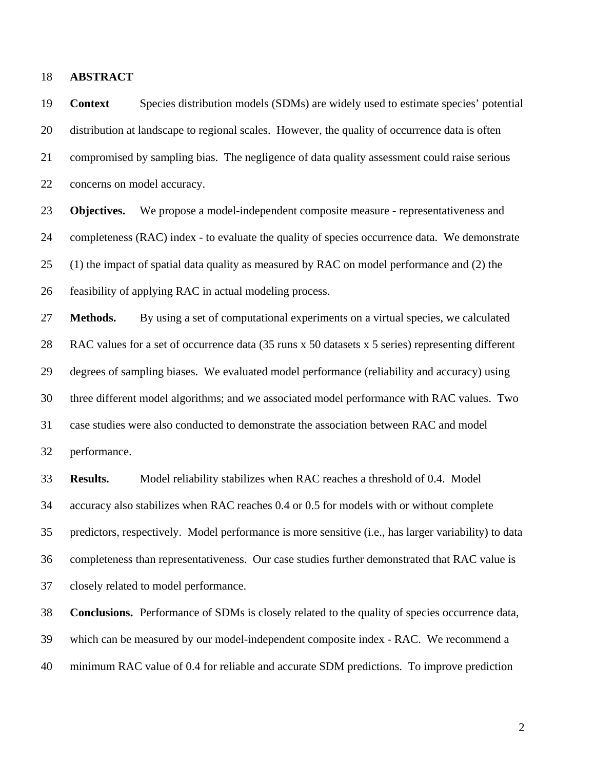18 **ABSTRACT** 

19 **Context** Species distribution models (SDMs) are widely used to estimate species' potential 20 distribution at landscape to regional scales. However, the quality of occurrence data is often 21 compromised by sampling bias. The negligence of data quality assessment could raise serious 22 concerns on model accuracy.

23 **Objectives.** We propose a model-independent composite measure - representativeness and 24 completeness (RAC) index - to evaluate the quality of species occurrence data. We demonstrate 25 (1) the impact of spatial data quality as measured by RAC on model performance and (2) the 26 feasibility of applying RAC in actual modeling process.

27 **Methods.** By using a set of computational experiments on a virtual species, we calculated 28 RAC values for a set of occurrence data (35 runs x 50 datasets x 5 series) representing different 29 degrees of sampling biases. We evaluated model performance (reliability and accuracy) using 30 three different model algorithms; and we associated model performance with RAC values. Two 31 case studies were also conducted to demonstrate the association between RAC and model 32 performance.

33 **Results.** Model reliability stabilizes when RAC reaches a threshold of 0.4. Model 34 accuracy also stabilizes when RAC reaches 0.4 or 0.5 for models with or without complete 35 predictors, respectively. Model performance is more sensitive (i.e., has larger variability) to data 36 completeness than representativeness. Our case studies further demonstrated that RAC value is 37 closely related to model performance.

38 **Conclusions.** Performance of SDMs is closely related to the quality of species occurrence data, 39 which can be measured by our model-independent composite index - RAC. We recommend a 40 minimum RAC value of 0.4 for reliable and accurate SDM predictions. To improve prediction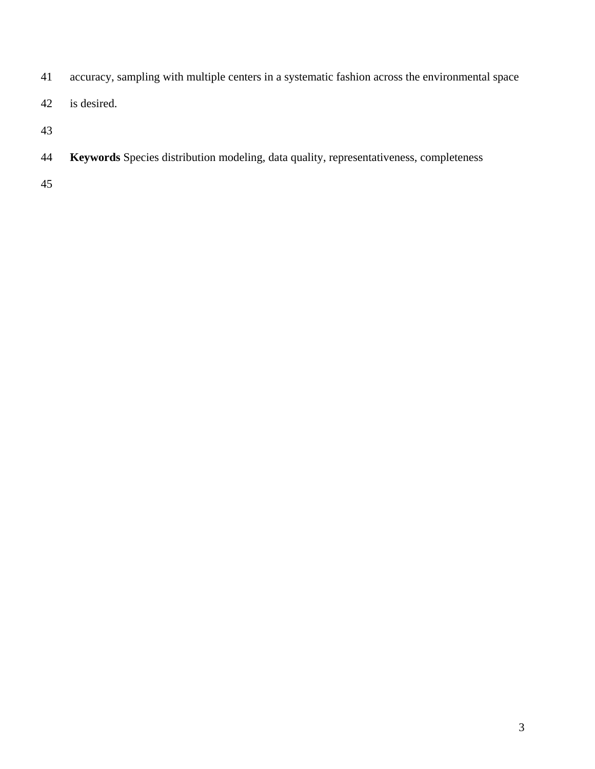- 41 accuracy, sampling with multiple centers in a systematic fashion across the environmental space
- 42 is desired.
- 
- **Keywords** Species distribution modeling, data quality, representativeness, completeness
-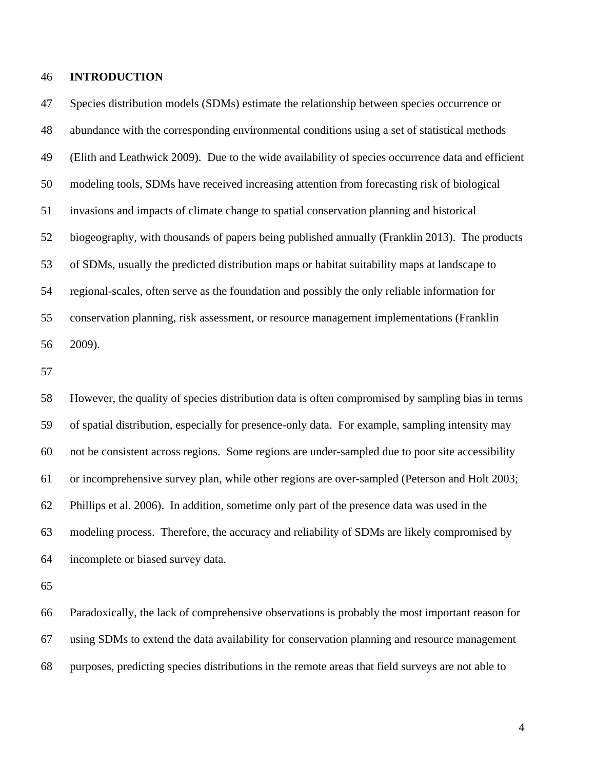### 46 **INTRODUCTION**

47 Species distribution models (SDMs) estimate the relationship between species occurrence or 48 abundance with the corresponding environmental conditions using a set of statistical methods 49 (Elith and Leathwick 2009). Due to the wide availability of species occurrence data and efficient 50 modeling tools, SDMs have received increasing attention from forecasting risk of biological 51 invasions and impacts of climate change to spatial conservation planning and historical 52 biogeography, with thousands of papers being published annually (Franklin 2013). The products 53 of SDMs, usually the predicted distribution maps or habitat suitability maps at landscape to 54 regional-scales, often serve as the foundation and possibly the only reliable information for 55 conservation planning, risk assessment, or resource management implementations (Franklin 56 2009).

57

58 However, the quality of species distribution data is often compromised by sampling bias in terms 59 of spatial distribution, especially for presence-only data. For example, sampling intensity may 60 not be consistent across regions. Some regions are under-sampled due to poor site accessibility 61 or incomprehensive survey plan, while other regions are over-sampled (Peterson and Holt 2003; 62 Phillips et al. 2006). In addition, sometime only part of the presence data was used in the 63 modeling process. Therefore, the accuracy and reliability of SDMs are likely compromised by 64 incomplete or biased survey data.

65

66 Paradoxically, the lack of comprehensive observations is probably the most important reason for 67 using SDMs to extend the data availability for conservation planning and resource management 68 purposes, predicting species distributions in the remote areas that field surveys are not able to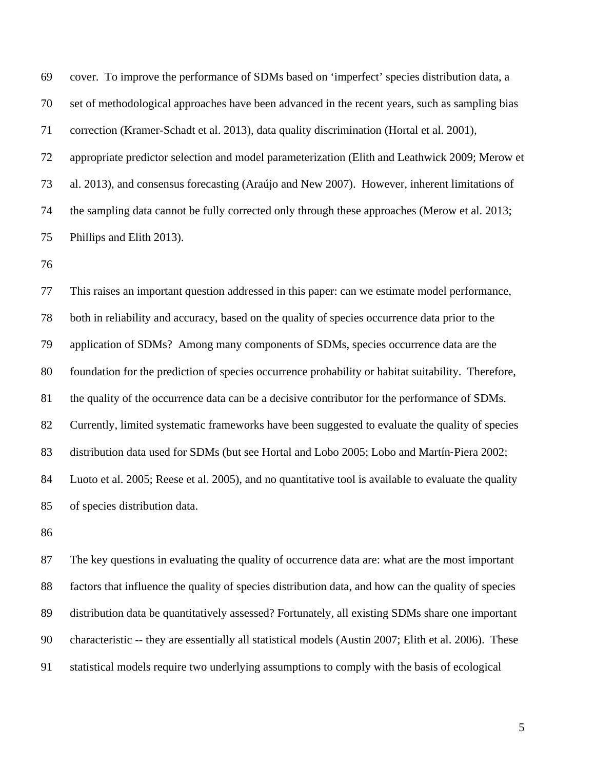69 cover. To improve the performance of SDMs based on 'imperfect' species distribution data, a 70 set of methodological approaches have been advanced in the recent years, such as sampling bias 71 correction (Kramer-Schadt et al. 2013), data quality discrimination (Hortal et al. 2001), 72 appropriate predictor selection and model parameterization (Elith and Leathwick 2009; Merow et 73 al. 2013), and consensus forecasting (Araújo and New 2007). However, inherent limitations of 74 the sampling data cannot be fully corrected only through these approaches (Merow et al. 2013; 75 Phillips and Elith 2013).

76

77 This raises an important question addressed in this paper: can we estimate model performance, 78 both in reliability and accuracy, based on the quality of species occurrence data prior to the 79 application of SDMs? Among many components of SDMs, species occurrence data are the 80 foundation for the prediction of species occurrence probability or habitat suitability. Therefore, 81 the quality of the occurrence data can be a decisive contributor for the performance of SDMs. 82 Currently, limited systematic frameworks have been suggested to evaluate the quality of species 83 distribution data used for SDMs (but see Hortal and Lobo 2005; Lobo and Martín-Piera 2002; 84 Luoto et al. 2005; Reese et al. 2005), and no quantitative tool is available to evaluate the quality 85 of species distribution data.

86

87 The key questions in evaluating the quality of occurrence data are: what are the most important 88 factors that influence the quality of species distribution data, and how can the quality of species 89 distribution data be quantitatively assessed? Fortunately, all existing SDMs share one important 90 characteristic -- they are essentially all statistical models (Austin 2007; Elith et al. 2006). These 91 statistical models require two underlying assumptions to comply with the basis of ecological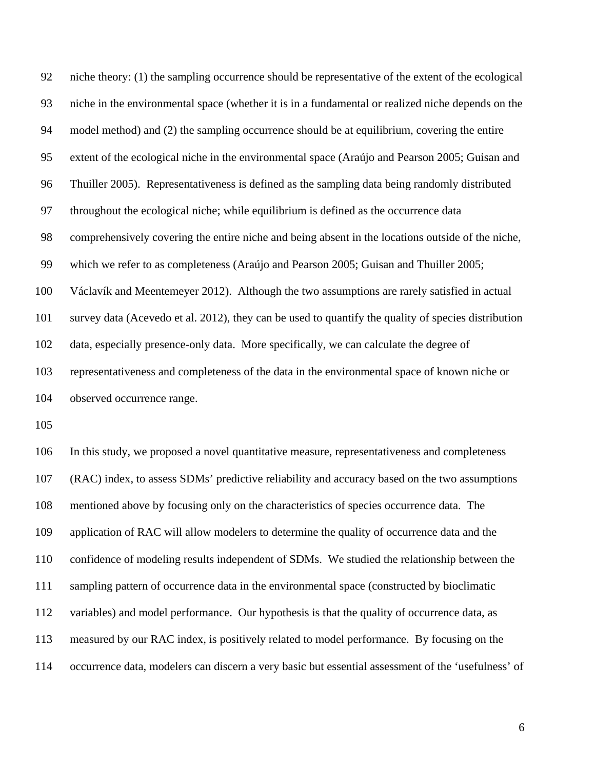92 niche theory: (1) the sampling occurrence should be representative of the extent of the ecological 93 niche in the environmental space (whether it is in a fundamental or realized niche depends on the 94 model method) and (2) the sampling occurrence should be at equilibrium, covering the entire 95 extent of the ecological niche in the environmental space (Araújo and Pearson 2005; Guisan and 96 Thuiller 2005). Representativeness is defined as the sampling data being randomly distributed 97 throughout the ecological niche; while equilibrium is defined as the occurrence data 98 comprehensively covering the entire niche and being absent in the locations outside of the niche, 99 which we refer to as completeness (Araújo and Pearson 2005; Guisan and Thuiller 2005; 100 Václavík and Meentemeyer 2012). Although the two assumptions are rarely satisfied in actual 101 survey data (Acevedo et al. 2012), they can be used to quantify the quality of species distribution 102 data, especially presence-only data. More specifically, we can calculate the degree of 103 representativeness and completeness of the data in the environmental space of known niche or 104 observed occurrence range.

105

106 In this study, we proposed a novel quantitative measure, representativeness and completeness 107 (RAC) index, to assess SDMs' predictive reliability and accuracy based on the two assumptions 108 mentioned above by focusing only on the characteristics of species occurrence data. The 109 application of RAC will allow modelers to determine the quality of occurrence data and the 110 confidence of modeling results independent of SDMs. We studied the relationship between the 111 sampling pattern of occurrence data in the environmental space (constructed by bioclimatic 112 variables) and model performance. Our hypothesis is that the quality of occurrence data, as 113 measured by our RAC index, is positively related to model performance. By focusing on the 114 occurrence data, modelers can discern a very basic but essential assessment of the 'usefulness' of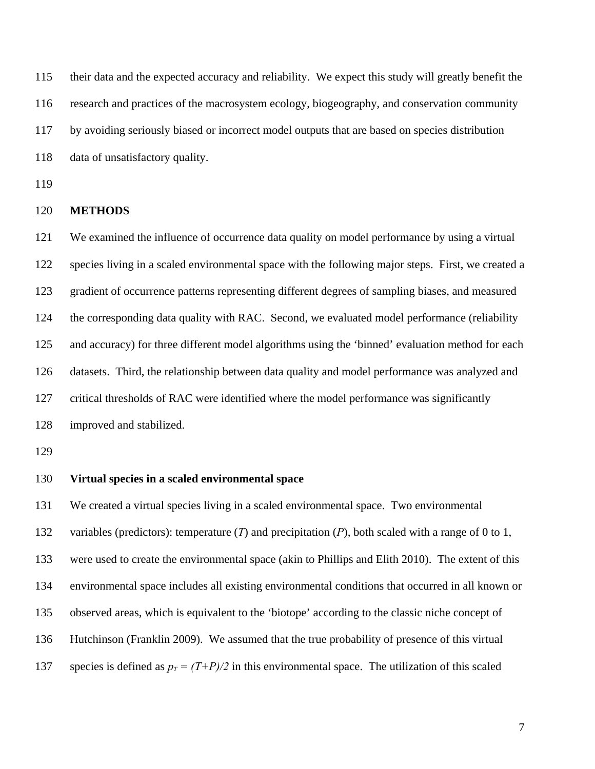115 their data and the expected accuracy and reliability. We expect this study will greatly benefit the 116 research and practices of the macrosystem ecology, biogeography, and conservation community 117 by avoiding seriously biased or incorrect model outputs that are based on species distribution 118 data of unsatisfactory quality.

119

#### 120 **METHODS**

121 We examined the influence of occurrence data quality on model performance by using a virtual 122 species living in a scaled environmental space with the following major steps. First, we created a 123 gradient of occurrence patterns representing different degrees of sampling biases, and measured 124 the corresponding data quality with RAC. Second, we evaluated model performance (reliability 125 and accuracy) for three different model algorithms using the 'binned' evaluation method for each 126 datasets. Third, the relationship between data quality and model performance was analyzed and 127 critical thresholds of RAC were identified where the model performance was significantly 128 improved and stabilized.

129

# 130 **Virtual species in a scaled environmental space**

131 We created a virtual species living in a scaled environmental space. Two environmental 132 variables (predictors): temperature (*T*) and precipitation (*P*), both scaled with a range of 0 to 1, 133 were used to create the environmental space (akin to Phillips and Elith 2010). The extent of this 134 environmental space includes all existing environmental conditions that occurred in all known or 135 observed areas, which is equivalent to the 'biotope' according to the classic niche concept of 136 Hutchinson (Franklin 2009). We assumed that the true probability of presence of this virtual 137 species is defined as  $p_T = (T+P)/2$  in this environmental space. The utilization of this scaled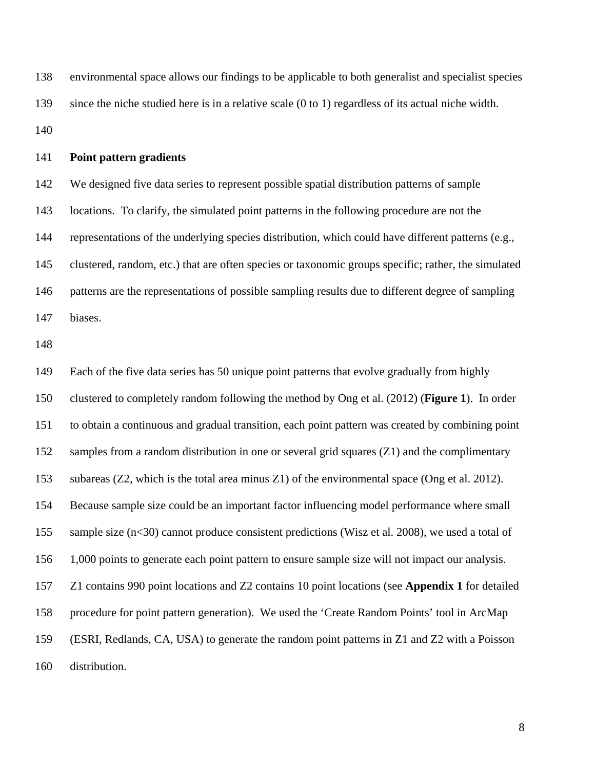138 environmental space allows our findings to be applicable to both generalist and specialist species 139 since the niche studied here is in a relative scale (0 to 1) regardless of its actual niche width. 140

141 **Point pattern gradients** 

142 We designed five data series to represent possible spatial distribution patterns of sample 143 locations. To clarify, the simulated point patterns in the following procedure are not the 144 representations of the underlying species distribution, which could have different patterns (e.g., 145 clustered, random, etc.) that are often species or taxonomic groups specific; rather, the simulated 146 patterns are the representations of possible sampling results due to different degree of sampling 147 biases.

148

149 Each of the five data series has 50 unique point patterns that evolve gradually from highly 150 clustered to completely random following the method by Ong et al. (2012) (**Figure 1**). In order 151 to obtain a continuous and gradual transition, each point pattern was created by combining point 152 samples from a random distribution in one or several grid squares (Z1) and the complimentary 153 subareas (Z2, which is the total area minus Z1) of the environmental space (Ong et al. 2012). 154 Because sample size could be an important factor influencing model performance where small 155 sample size (n<30) cannot produce consistent predictions (Wisz et al. 2008), we used a total of 156 1,000 points to generate each point pattern to ensure sample size will not impact our analysis. 157 Z1 contains 990 point locations and Z2 contains 10 point locations (see **Appendix 1** for detailed 158 procedure for point pattern generation). We used the 'Create Random Points' tool in ArcMap 159 (ESRI, Redlands, CA, USA) to generate the random point patterns in Z1 and Z2 with a Poisson 160 distribution.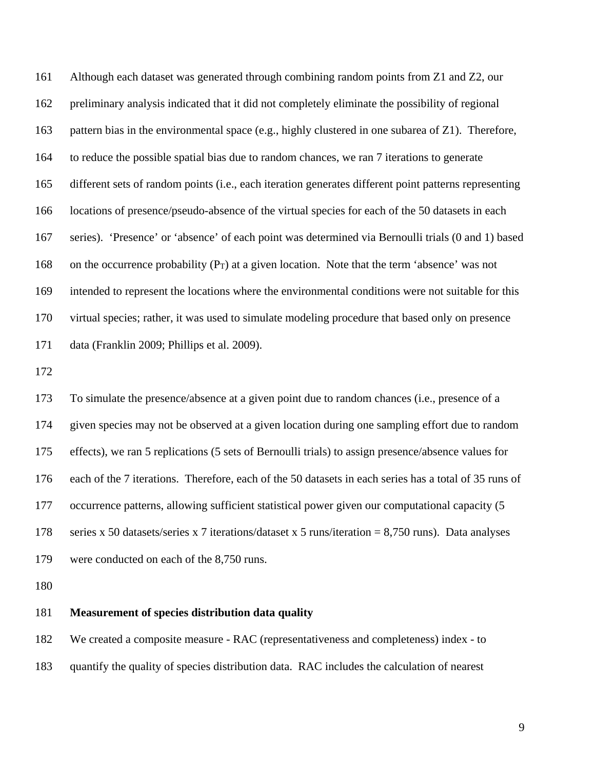161 Although each dataset was generated through combining random points from Z1 and Z2, our 162 preliminary analysis indicated that it did not completely eliminate the possibility of regional 163 pattern bias in the environmental space (e.g., highly clustered in one subarea of Z1). Therefore, 164 to reduce the possible spatial bias due to random chances, we ran 7 iterations to generate 165 different sets of random points (i.e., each iteration generates different point patterns representing 166 locations of presence/pseudo-absence of the virtual species for each of the 50 datasets in each 167 series). 'Presence' or 'absence' of each point was determined via Bernoulli trials (0 and 1) based 168 on the occurrence probability (PT) at a given location. Note that the term 'absence' was not 169 intended to represent the locations where the environmental conditions were not suitable for this 170 virtual species; rather, it was used to simulate modeling procedure that based only on presence 171 data (Franklin 2009; Phillips et al. 2009).

172

173 To simulate the presence/absence at a given point due to random chances (i.e., presence of a 174 given species may not be observed at a given location during one sampling effort due to random 175 effects), we ran 5 replications (5 sets of Bernoulli trials) to assign presence/absence values for 176 each of the 7 iterations. Therefore, each of the 50 datasets in each series has a total of 35 runs of 177 occurrence patterns, allowing sufficient statistical power given our computational capacity (5 178 series x 50 datasets/series x 7 iterations/dataset x 5 runs/iteration = 8,750 runs). Data analyses 179 were conducted on each of the 8,750 runs.

180

## 181 **Measurement of species distribution data quality**

182 We created a composite measure - RAC (representativeness and completeness) index - to

183 quantify the quality of species distribution data. RAC includes the calculation of nearest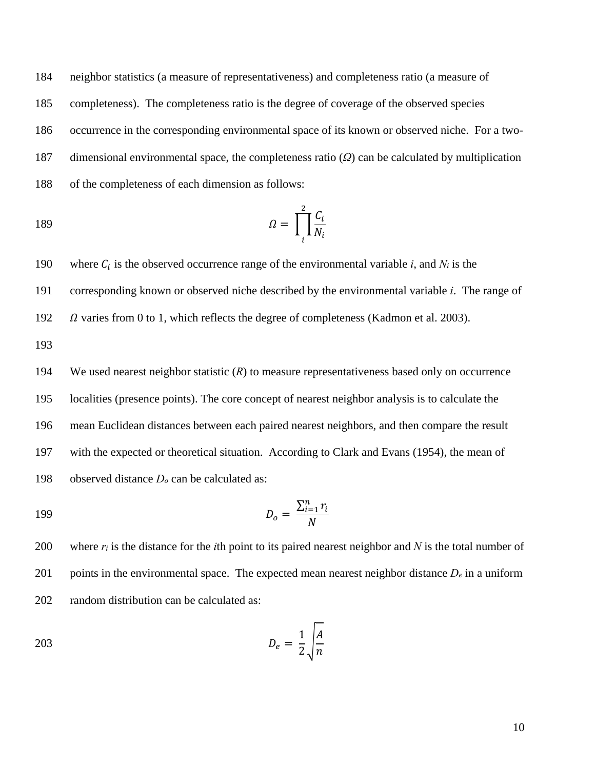184 neighbor statistics (a measure of representativeness) and completeness ratio (a measure of 185 completeness). The completeness ratio is the degree of coverage of the observed species 186 occurrence in the corresponding environmental space of its known or observed niche. For a two-187 dimensional environmental space, the completeness ratio (*Ω*) can be calculated by multiplication 188 of the completeness of each dimension as follows:

$$
\Omega = \prod_{i}^{2} \frac{C_i}{N_i}
$$

190 where  $C_i$  is the observed occurrence range of the environmental variable *i*, and  $N_i$  is the

191 corresponding known or observed niche described by the environmental variable *i*. The range of

192  $\Omega$  varies from 0 to 1, which reflects the degree of completeness (Kadmon et al. 2003).

193

194 We used nearest neighbor statistic (*R*) to measure representativeness based only on occurrence 195 localities (presence points). The core concept of nearest neighbor analysis is to calculate the 196 mean Euclidean distances between each paired nearest neighbors, and then compare the result 197 with the expected or theoretical situation. According to Clark and Evans (1954), the mean of 198 observed distance *Do* can be calculated as:

$$
D_o = \frac{\sum_{i=1}^{n} r_i}{N}
$$

200 where *ri* is the distance for the *i*th point to its paired nearest neighbor and *N* is the total number of 201 points in the environmental space. The expected mean nearest neighbor distance  $D_e$  in a uniform 202 random distribution can be calculated as:

$$
D_e = \frac{1}{2} \sqrt{\frac{A}{n}}
$$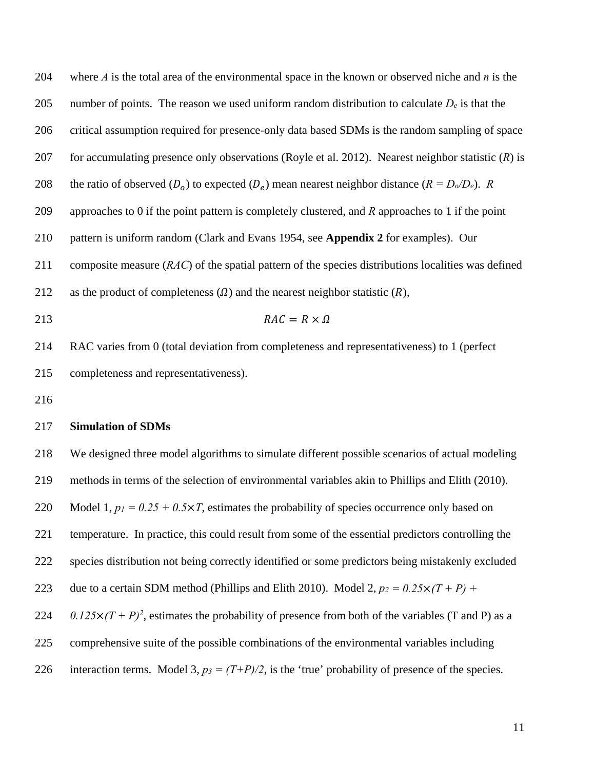204 where *A* is the total area of the environmental space in the known or observed niche and *n* is the 205 number of points. The reason we used uniform random distribution to calculate  $D_e$  is that the 206 critical assumption required for presence-only data based SDMs is the random sampling of space 207 for accumulating presence only observations (Royle et al. 2012). Nearest neighbor statistic (*R*) is 208 the ratio of observed  $(D_0)$  to expected  $(D_e)$  mean nearest neighbor distance  $(R = D_0/D_e)$ . *R* 209 approaches to 0 if the point pattern is completely clustered, and *R* approaches to 1 if the point 210 pattern is uniform random (Clark and Evans 1954, see **Appendix 2** for examples). Our 211 composite measure (*RAC*) of the spatial pattern of the species distributions localities was defined 212 as the product of completeness  $(\Omega)$  and the nearest neighbor statistic  $(R)$ , 213  $RAC = R \times \Omega$ 214 RAC varies from 0 (total deviation from completeness and representativeness) to 1 (perfect 215 completeness and representativeness). 216 217 **Simulation of SDMs**  218 We designed three model algorithms to simulate different possible scenarios of actual modeling 219 methods in terms of the selection of environmental variables akin to Phillips and Elith (2010). 220 Model 1,  $p_1 = 0.25 + 0.5 \times T$ , estimates the probability of species occurrence only based on 221 temperature. In practice, this could result from some of the essential predictors controlling the 222 species distribution not being correctly identified or some predictors being mistakenly excluded 223 due to a certain SDM method (Phillips and Elith 2010). Model 2,  $p_2 = 0.25 \times (T + P) +$ 224  $0.125 \times (T + P)^2$ , estimates the probability of presence from both of the variables (T and P) as a 225 comprehensive suite of the possible combinations of the environmental variables including

226 interaction terms. Model 3,  $p_3 = (T+P)/2$ , is the 'true' probability of presence of the species.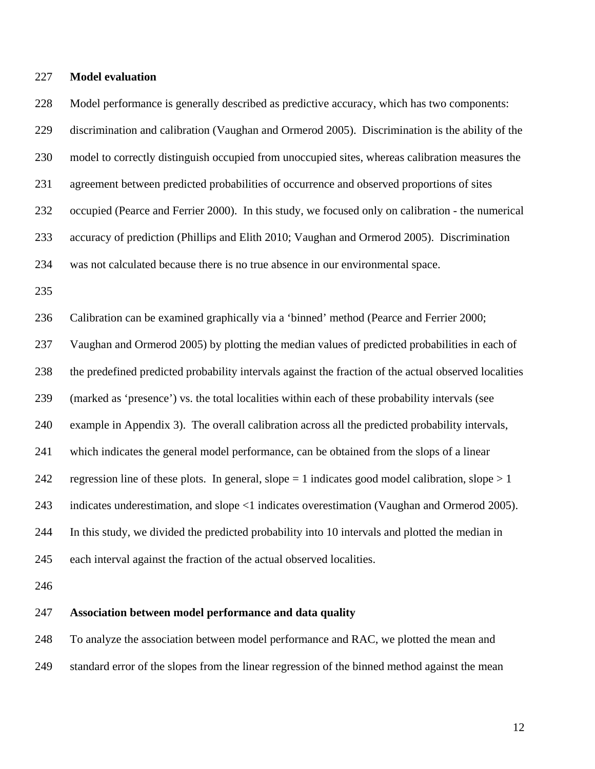227 **Model evaluation** 

228 Model performance is generally described as predictive accuracy, which has two components: 229 discrimination and calibration (Vaughan and Ormerod 2005). Discrimination is the ability of the 230 model to correctly distinguish occupied from unoccupied sites, whereas calibration measures the 231 agreement between predicted probabilities of occurrence and observed proportions of sites 232 occupied (Pearce and Ferrier 2000). In this study, we focused only on calibration - the numerical 233 accuracy of prediction (Phillips and Elith 2010; Vaughan and Ormerod 2005). Discrimination 234 was not calculated because there is no true absence in our environmental space. 235 236 Calibration can be examined graphically via a 'binned' method (Pearce and Ferrier 2000; 237 Vaughan and Ormerod 2005) by plotting the median values of predicted probabilities in each of 238 the predefined predicted probability intervals against the fraction of the actual observed localities 239 (marked as 'presence') vs. the total localities within each of these probability intervals (see 240 example in Appendix 3). The overall calibration across all the predicted probability intervals, 241 which indicates the general model performance, can be obtained from the slops of a linear 242 regression line of these plots. In general, slope  $= 1$  indicates good model calibration, slope  $> 1$ 243 indicates underestimation, and slope <1 indicates overestimation (Vaughan and Ormerod 2005). 244 In this study, we divided the predicted probability into 10 intervals and plotted the median in 245 each interval against the fraction of the actual observed localities. 246

# 247 **Association between model performance and data quality**

248 To analyze the association between model performance and RAC, we plotted the mean and

249 standard error of the slopes from the linear regression of the binned method against the mean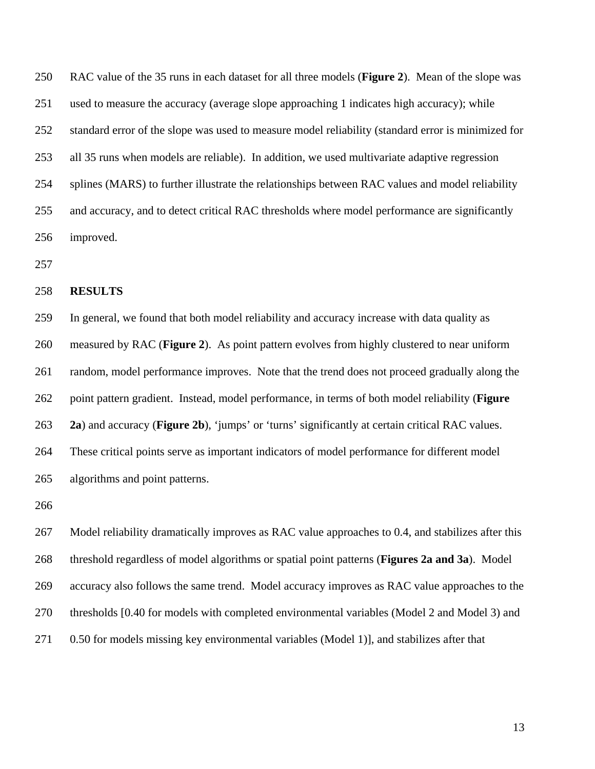250 RAC value of the 35 runs in each dataset for all three models (**Figure 2**). Mean of the slope was 251 used to measure the accuracy (average slope approaching 1 indicates high accuracy); while 252 standard error of the slope was used to measure model reliability (standard error is minimized for 253 all 35 runs when models are reliable). In addition, we used multivariate adaptive regression 254 splines (MARS) to further illustrate the relationships between RAC values and model reliability 255 and accuracy, and to detect critical RAC thresholds where model performance are significantly 256 improved.

257

#### 258 **RESULTS**

259 In general, we found that both model reliability and accuracy increase with data quality as 260 measured by RAC (**Figure 2**). As point pattern evolves from highly clustered to near uniform 261 random, model performance improves. Note that the trend does not proceed gradually along the 262 point pattern gradient. Instead, model performance, in terms of both model reliability (**Figure**  263 **2a**) and accuracy (**Figure 2b**), 'jumps' or 'turns' significantly at certain critical RAC values. 264 These critical points serve as important indicators of model performance for different model 265 algorithms and point patterns.

266

267 Model reliability dramatically improves as RAC value approaches to 0.4, and stabilizes after this 268 threshold regardless of model algorithms or spatial point patterns (**Figures 2a and 3a**). Model 269 accuracy also follows the same trend. Model accuracy improves as RAC value approaches to the 270 thresholds [0.40 for models with completed environmental variables (Model 2 and Model 3) and 271 0.50 for models missing key environmental variables (Model 1), and stabilizes after that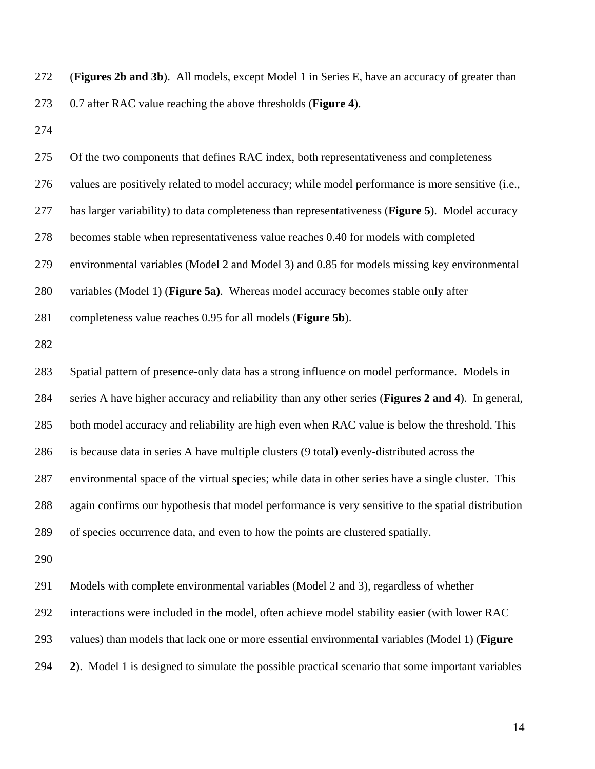272 (**Figures 2b and 3b**). All models, except Model 1 in Series E, have an accuracy of greater than 273 0.7 after RAC value reaching the above thresholds (**Figure 4**).

274

275 Of the two components that defines RAC index, both representativeness and completeness 276 values are positively related to model accuracy; while model performance is more sensitive (i.e., 277 has larger variability) to data completeness than representativeness (**Figure 5**). Model accuracy 278 becomes stable when representativeness value reaches 0.40 for models with completed 279 environmental variables (Model 2 and Model 3) and 0.85 for models missing key environmental 280 variables (Model 1) (**Figure 5a)**. Whereas model accuracy becomes stable only after 281 completeness value reaches 0.95 for all models (**Figure 5b**). 282 283 Spatial pattern of presence-only data has a strong influence on model performance. Models in 284 series A have higher accuracy and reliability than any other series (**Figures 2 and 4**). In general, 285 both model accuracy and reliability are high even when RAC value is below the threshold. This 286 is because data in series A have multiple clusters (9 total) evenly-distributed across the 287 environmental space of the virtual species; while data in other series have a single cluster. This 288 again confirms our hypothesis that model performance is very sensitive to the spatial distribution 289 of species occurrence data, and even to how the points are clustered spatially. 290 291 Models with complete environmental variables (Model 2 and 3), regardless of whether 292 interactions were included in the model, often achieve model stability easier (with lower RAC 293 values) than models that lack one or more essential environmental variables (Model 1) (**Figure** 

294 **2**). Model 1 is designed to simulate the possible practical scenario that some important variables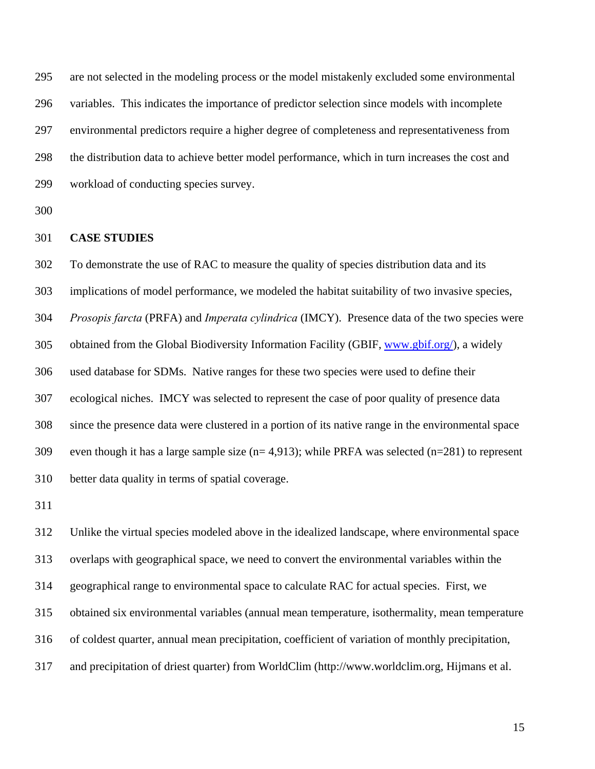295 are not selected in the modeling process or the model mistakenly excluded some environmental 296 variables. This indicates the importance of predictor selection since models with incomplete 297 environmental predictors require a higher degree of completeness and representativeness from 298 the distribution data to achieve better model performance, which in turn increases the cost and 299 workload of conducting species survey.

300

## 301 **CASE STUDIES**

302 To demonstrate the use of RAC to measure the quality of species distribution data and its 303 implications of model performance, we modeled the habitat suitability of two invasive species, 304 *Prosopis farcta* (PRFA) and *Imperata cylindrica* (IMCY). Presence data of the two species were 305 obtained from the Global Biodiversity Information Facility (GBIF, www.gbif.org/), a widely 306 used database for SDMs. Native ranges for these two species were used to define their 307 ecological niches. IMCY was selected to represent the case of poor quality of presence data 308 since the presence data were clustered in a portion of its native range in the environmental space 309 even though it has a large sample size (n= 4,913); while PRFA was selected (n=281) to represent 310 better data quality in terms of spatial coverage.

311

312 Unlike the virtual species modeled above in the idealized landscape, where environmental space 313 overlaps with geographical space, we need to convert the environmental variables within the 314 geographical range to environmental space to calculate RAC for actual species. First, we 315 obtained six environmental variables (annual mean temperature, isothermality, mean temperature 316 of coldest quarter, annual mean precipitation, coefficient of variation of monthly precipitation, 317 and precipitation of driest quarter) from WorldClim (http://www.worldclim.org, Hijmans et al.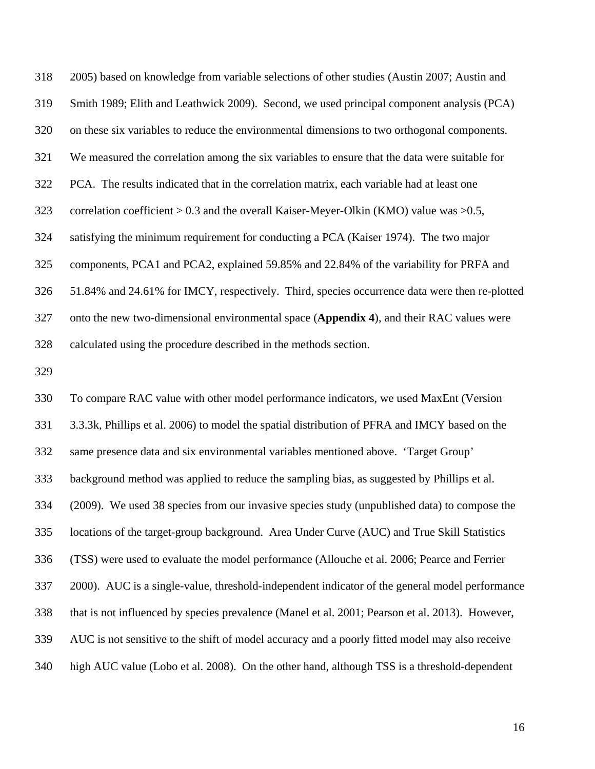318 2005) based on knowledge from variable selections of other studies (Austin 2007; Austin and 319 Smith 1989; Elith and Leathwick 2009). Second, we used principal component analysis (PCA) 320 on these six variables to reduce the environmental dimensions to two orthogonal components. 321 We measured the correlation among the six variables to ensure that the data were suitable for 322 PCA. The results indicated that in the correlation matrix, each variable had at least one 323 correlation coefficient > 0.3 and the overall Kaiser-Meyer-Olkin (KMO) value was >0.5, 324 satisfying the minimum requirement for conducting a PCA (Kaiser 1974). The two major 325 components, PCA1 and PCA2, explained 59.85% and 22.84% of the variability for PRFA and 326 51.84% and 24.61% for IMCY, respectively. Third, species occurrence data were then re-plotted 327 onto the new two-dimensional environmental space (**Appendix 4**), and their RAC values were 328 calculated using the procedure described in the methods section.

329

330 To compare RAC value with other model performance indicators, we used MaxEnt (Version 331 3.3.3k, Phillips et al. 2006) to model the spatial distribution of PFRA and IMCY based on the 332 same presence data and six environmental variables mentioned above. 'Target Group' 333 background method was applied to reduce the sampling bias, as suggested by Phillips et al. 334 (2009). We used 38 species from our invasive species study (unpublished data) to compose the 335 locations of the target-group background. Area Under Curve (AUC) and True Skill Statistics 336 (TSS) were used to evaluate the model performance (Allouche et al. 2006; Pearce and Ferrier 337 2000). AUC is a single-value, threshold-independent indicator of the general model performance 338 that is not influenced by species prevalence (Manel et al. 2001; Pearson et al. 2013). However, 339 AUC is not sensitive to the shift of model accuracy and a poorly fitted model may also receive 340 high AUC value (Lobo et al. 2008). On the other hand, although TSS is a threshold-dependent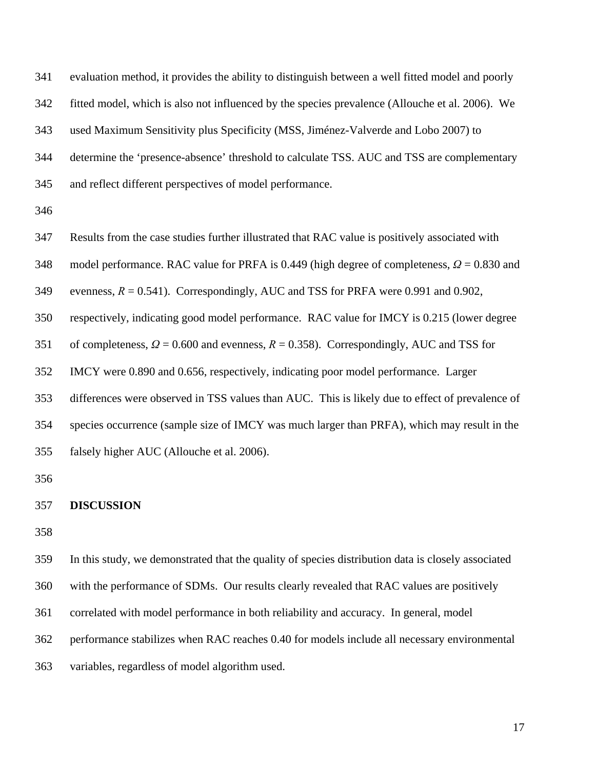341 evaluation method, it provides the ability to distinguish between a well fitted model and poorly 342 fitted model, which is also not influenced by the species prevalence (Allouche et al. 2006). We 343 used Maximum Sensitivity plus Specificity (MSS, Jiménez-Valverde and Lobo 2007) to 344 determine the 'presence-absence' threshold to calculate TSS. AUC and TSS are complementary 345 and reflect different perspectives of model performance.

346

347 Results from the case studies further illustrated that RAC value is positively associated with

348 model performance. RAC value for PRFA is 0.449 (high degree of completeness, *Ω* = 0.830 and

349 evenness,  $R = 0.541$ ). Correspondingly, AUC and TSS for PRFA were 0.991 and 0.902,

350 respectively, indicating good model performance. RAC value for IMCY is 0.215 (lower degree

351 of completeness, *Ω* = 0.600 and evenness, *R* = 0.358). Correspondingly, AUC and TSS for

352 IMCY were 0.890 and 0.656, respectively, indicating poor model performance. Larger

353 differences were observed in TSS values than AUC. This is likely due to effect of prevalence of

354 species occurrence (sample size of IMCY was much larger than PRFA), which may result in the

355 falsely higher AUC (Allouche et al. 2006).

356

#### 357 **DISCUSSION**

358

359 In this study, we demonstrated that the quality of species distribution data is closely associated

360 with the performance of SDMs. Our results clearly revealed that RAC values are positively

361 correlated with model performance in both reliability and accuracy. In general, model

362 performance stabilizes when RAC reaches 0.40 for models include all necessary environmental

363 variables, regardless of model algorithm used.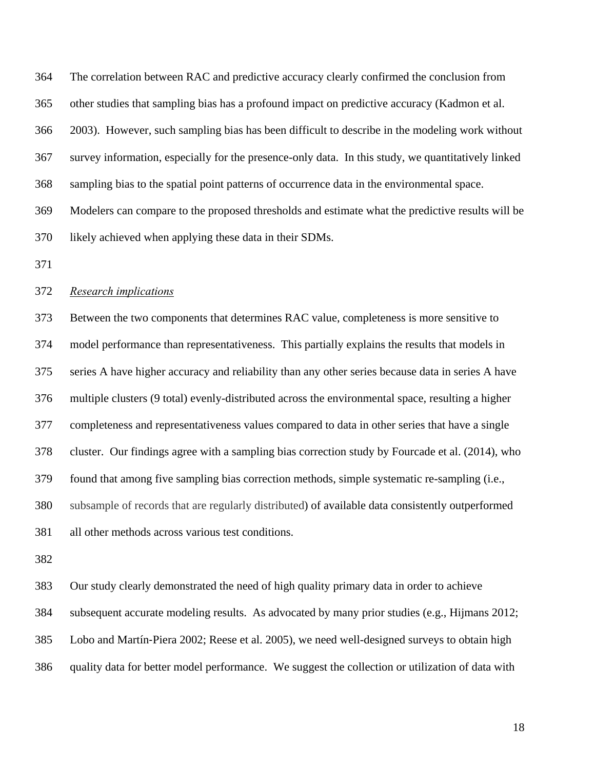364 The correlation between RAC and predictive accuracy clearly confirmed the conclusion from 365 other studies that sampling bias has a profound impact on predictive accuracy (Kadmon et al. 366 2003). However, such sampling bias has been difficult to describe in the modeling work without

367 survey information, especially for the presence-only data. In this study, we quantitatively linked

368 sampling bias to the spatial point patterns of occurrence data in the environmental space.

369 Modelers can compare to the proposed thresholds and estimate what the predictive results will be 370 likely achieved when applying these data in their SDMs.

371

## 372 *Research implications*

373 Between the two components that determines RAC value, completeness is more sensitive to 374 model performance than representativeness. This partially explains the results that models in 375 series A have higher accuracy and reliability than any other series because data in series A have 376 multiple clusters (9 total) evenly-distributed across the environmental space, resulting a higher 377 completeness and representativeness values compared to data in other series that have a single 378 cluster. Our findings agree with a sampling bias correction study by Fourcade et al. (2014), who 379 found that among five sampling bias correction methods, simple systematic re-sampling (i.e., 380 subsample of records that are regularly distributed) of available data consistently outperformed 381 all other methods across various test conditions.

382

383 Our study clearly demonstrated the need of high quality primary data in order to achieve 384 subsequent accurate modeling results. As advocated by many prior studies (e.g., Hijmans 2012; 385 Lobo and Martín‐Piera 2002; Reese et al. 2005), we need well-designed surveys to obtain high 386 quality data for better model performance. We suggest the collection or utilization of data with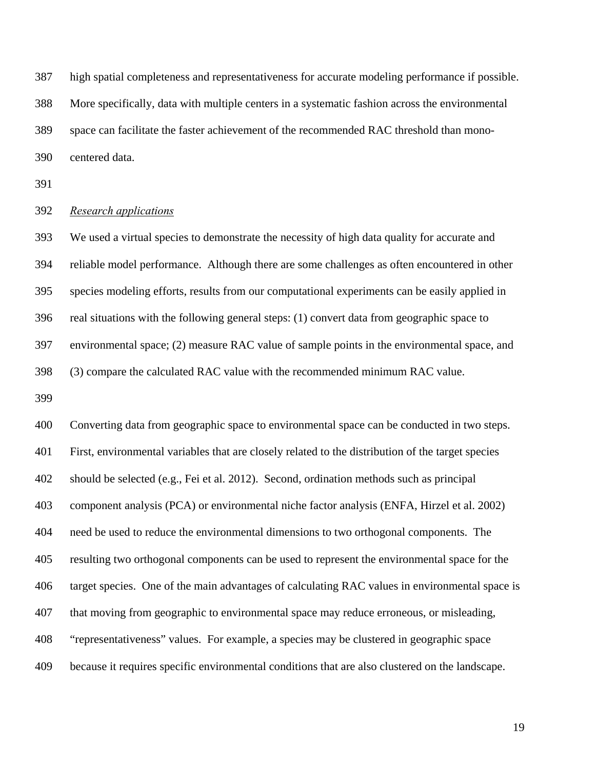387 high spatial completeness and representativeness for accurate modeling performance if possible. 388 More specifically, data with multiple centers in a systematic fashion across the environmental 389 space can facilitate the faster achievement of the recommended RAC threshold than mono-390 centered data.

391

### 392 *Research applications*

393 We used a virtual species to demonstrate the necessity of high data quality for accurate and 394 reliable model performance. Although there are some challenges as often encountered in other 395 species modeling efforts, results from our computational experiments can be easily applied in 396 real situations with the following general steps: (1) convert data from geographic space to 397 environmental space; (2) measure RAC value of sample points in the environmental space, and 398 (3) compare the calculated RAC value with the recommended minimum RAC value.

399

400 Converting data from geographic space to environmental space can be conducted in two steps. 401 First, environmental variables that are closely related to the distribution of the target species 402 should be selected (e.g., Fei et al. 2012). Second, ordination methods such as principal 403 component analysis (PCA) or environmental niche factor analysis (ENFA, Hirzel et al. 2002) 404 need be used to reduce the environmental dimensions to two orthogonal components. The 405 resulting two orthogonal components can be used to represent the environmental space for the 406 target species. One of the main advantages of calculating RAC values in environmental space is 407 that moving from geographic to environmental space may reduce erroneous, or misleading, 408 "representativeness" values. For example, a species may be clustered in geographic space 409 because it requires specific environmental conditions that are also clustered on the landscape.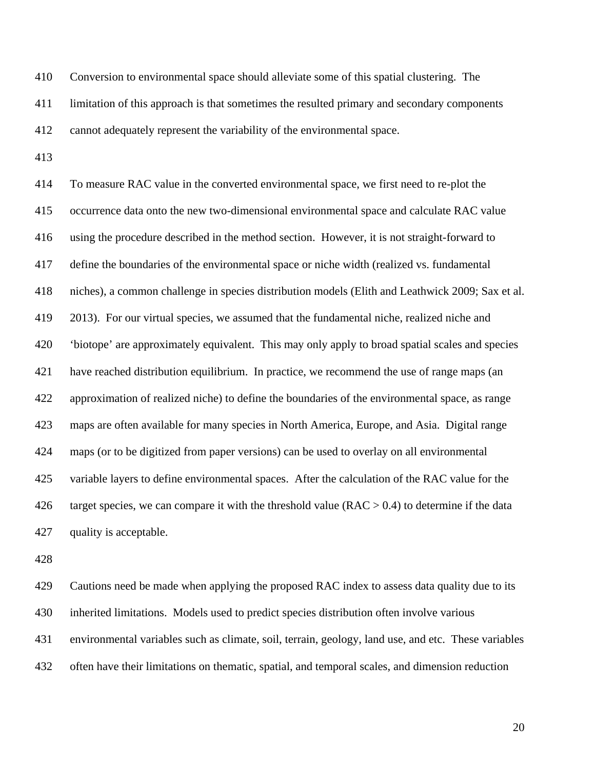410 Conversion to environmental space should alleviate some of this spatial clustering. The 411 limitation of this approach is that sometimes the resulted primary and secondary components 412 cannot adequately represent the variability of the environmental space.

413

414 To measure RAC value in the converted environmental space, we first need to re-plot the 415 occurrence data onto the new two-dimensional environmental space and calculate RAC value 416 using the procedure described in the method section. However, it is not straight-forward to 417 define the boundaries of the environmental space or niche width (realized vs. fundamental 418 niches), a common challenge in species distribution models (Elith and Leathwick 2009; Sax et al. 419 2013). For our virtual species, we assumed that the fundamental niche, realized niche and 420 'biotope' are approximately equivalent. This may only apply to broad spatial scales and species 421 have reached distribution equilibrium. In practice, we recommend the use of range maps (an 422 approximation of realized niche) to define the boundaries of the environmental space, as range 423 maps are often available for many species in North America, Europe, and Asia. Digital range 424 maps (or to be digitized from paper versions) can be used to overlay on all environmental 425 variable layers to define environmental spaces. After the calculation of the RAC value for the 426 target species, we can compare it with the threshold value  $(RAC > 0.4)$  to determine if the data 427 quality is acceptable.

428

429 Cautions need be made when applying the proposed RAC index to assess data quality due to its 430 inherited limitations. Models used to predict species distribution often involve various 431 environmental variables such as climate, soil, terrain, geology, land use, and etc. These variables 432 often have their limitations on thematic, spatial, and temporal scales, and dimension reduction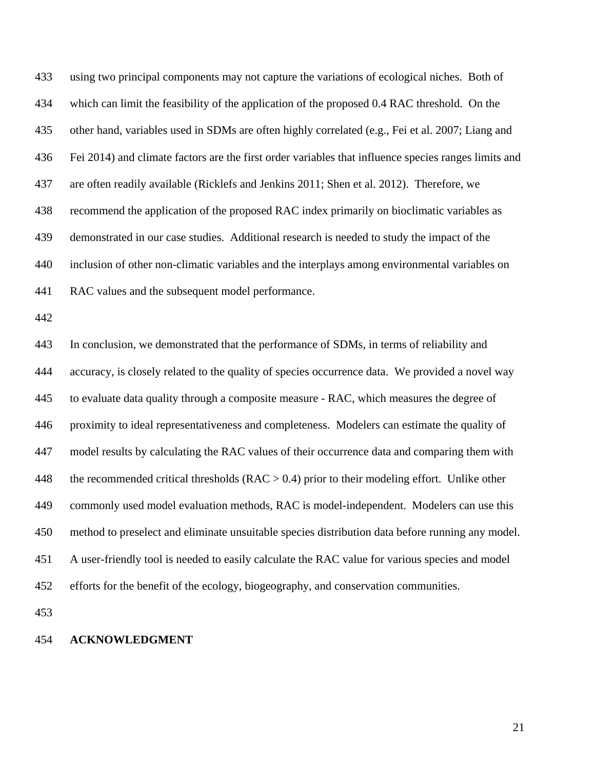433 using two principal components may not capture the variations of ecological niches. Both of 434 which can limit the feasibility of the application of the proposed 0.4 RAC threshold. On the 435 other hand, variables used in SDMs are often highly correlated (e.g., Fei et al. 2007; Liang and 436 Fei 2014) and climate factors are the first order variables that influence species ranges limits and 437 are often readily available (Ricklefs and Jenkins 2011; Shen et al. 2012). Therefore, we 438 recommend the application of the proposed RAC index primarily on bioclimatic variables as 439 demonstrated in our case studies. Additional research is needed to study the impact of the 440 inclusion of other non-climatic variables and the interplays among environmental variables on 441 RAC values and the subsequent model performance.

442

443 In conclusion, we demonstrated that the performance of SDMs, in terms of reliability and 444 accuracy, is closely related to the quality of species occurrence data. We provided a novel way 445 to evaluate data quality through a composite measure - RAC, which measures the degree of 446 proximity to ideal representativeness and completeness. Modelers can estimate the quality of 447 model results by calculating the RAC values of their occurrence data and comparing them with 448 the recommended critical thresholds ( $RAC > 0.4$ ) prior to their modeling effort. Unlike other 449 commonly used model evaluation methods, RAC is model-independent. Modelers can use this 450 method to preselect and eliminate unsuitable species distribution data before running any model. 451 A user-friendly tool is needed to easily calculate the RAC value for various species and model 452 efforts for the benefit of the ecology, biogeography, and conservation communities.

453

### 454 **ACKNOWLEDGMENT**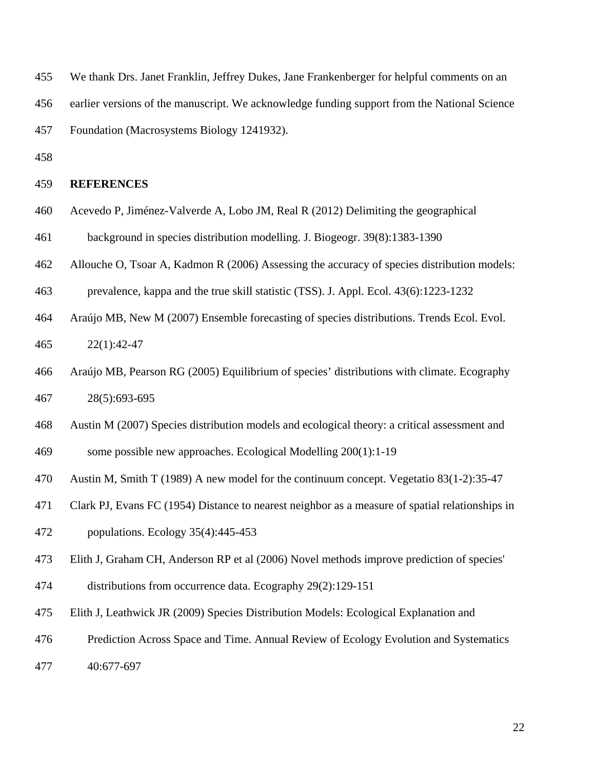455 We thank Drs. Janet Franklin, Jeffrey Dukes, Jane Frankenberger for helpful comments on an

456 earlier versions of the manuscript. We acknowledge funding support from the National Science

457 Foundation (Macrosystems Biology 1241932).

458

## 459 **REFERENCES**

- 460 Acevedo P, Jiménez-Valverde A, Lobo JM, Real R (2012) Delimiting the geographical
- 461 background in species distribution modelling. J. Biogeogr. 39(8):1383-1390
- 462 Allouche O, Tsoar A, Kadmon R (2006) Assessing the accuracy of species distribution models:
- 463 prevalence, kappa and the true skill statistic (TSS). J. Appl. Ecol. 43(6):1223-1232
- 464 Araújo MB, New M (2007) Ensemble forecasting of species distributions. Trends Ecol. Evol. 465 22(1):42-47
- 466 Araújo MB, Pearson RG (2005) Equilibrium of species' distributions with climate. Ecography 467 28(5):693-695
- 468 Austin M (2007) Species distribution models and ecological theory: a critical assessment and
- 469 some possible new approaches. Ecological Modelling 200(1):1-19
- 470 Austin M, Smith T (1989) A new model for the continuum concept. Vegetatio 83(1-2):35-47
- 471 Clark PJ, Evans FC (1954) Distance to nearest neighbor as a measure of spatial relationships in
- 472 populations. Ecology 35(4):445-453
- 473 Elith J, Graham CH, Anderson RP et al (2006) Novel methods improve prediction of species'
- 474 distributions from occurrence data. Ecography 29(2):129-151
- 475 Elith J, Leathwick JR (2009) Species Distribution Models: Ecological Explanation and
- 476 Prediction Across Space and Time. Annual Review of Ecology Evolution and Systematics
- 477 40:677-697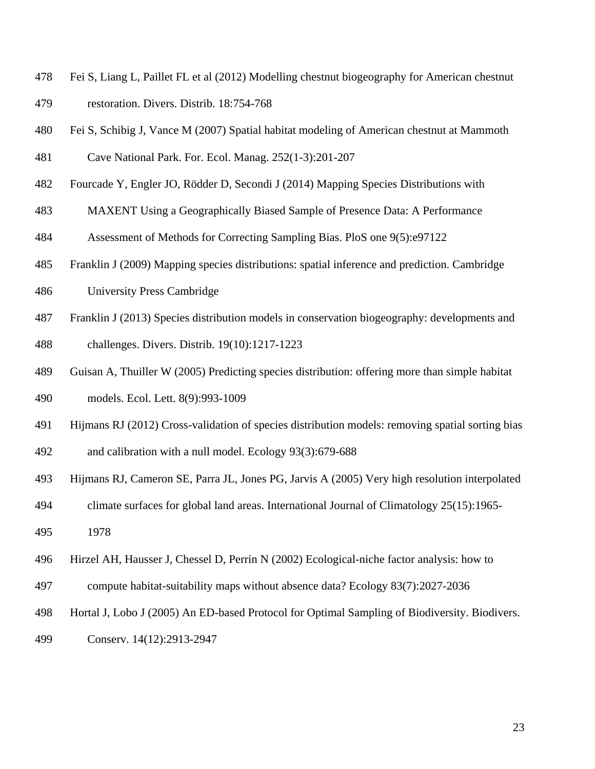- 478 Fei S, Liang L, Paillet FL et al (2012) Modelling chestnut biogeography for American chestnut 479 restoration. Divers. Distrib. 18:754-768
- 480 Fei S, Schibig J, Vance M (2007) Spatial habitat modeling of American chestnut at Mammoth
- 481 Cave National Park. For. Ecol. Manag. 252(1-3):201-207
- 482 Fourcade Y, Engler JO, Rödder D, Secondi J (2014) Mapping Species Distributions with
- 483 MAXENT Using a Geographically Biased Sample of Presence Data: A Performance
- 484 Assessment of Methods for Correcting Sampling Bias. PloS one 9(5):e97122
- 485 Franklin J (2009) Mapping species distributions: spatial inference and prediction. Cambridge
- 486 University Press Cambridge
- 487 Franklin J (2013) Species distribution models in conservation biogeography: developments and 488 challenges. Divers. Distrib. 19(10):1217-1223
- 489 Guisan A, Thuiller W (2005) Predicting species distribution: offering more than simple habitat
- 490 models. Ecol. Lett. 8(9):993-1009
- 491 Hijmans RJ (2012) Cross-validation of species distribution models: removing spatial sorting bias
- 492 and calibration with a null model. Ecology 93(3):679-688
- 493 Hijmans RJ, Cameron SE, Parra JL, Jones PG, Jarvis A (2005) Very high resolution interpolated
- 494 climate surfaces for global land areas. International Journal of Climatology 25(15):1965-
- 495 1978
- 496 Hirzel AH, Hausser J, Chessel D, Perrin N (2002) Ecological-niche factor analysis: how to
- 497 compute habitat-suitability maps without absence data? Ecology 83(7):2027-2036
- 498 Hortal J, Lobo J (2005) An ED-based Protocol for Optimal Sampling of Biodiversity. Biodivers.
- 499 Conserv. 14(12):2913-2947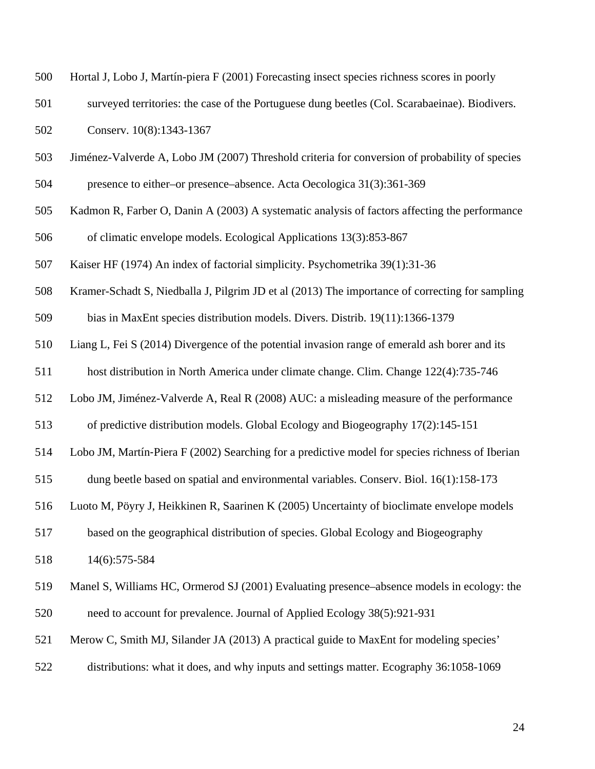| 500 | Hortal J, Lobo J, Martín-piera F (2001) Forecasting insect species richness scores in poorly    |
|-----|-------------------------------------------------------------------------------------------------|
| 501 | surveyed territories: the case of the Portuguese dung beetles (Col. Scarabaeinae). Biodivers.   |
| 502 | Conserv. 10(8):1343-1367                                                                        |
| 503 | Jiménez-Valverde A, Lobo JM (2007) Threshold criteria for conversion of probability of species  |
| 504 | presence to either–or presence–absence. Acta Oecologica 31(3):361-369                           |
| 505 | Kadmon R, Farber O, Danin A (2003) A systematic analysis of factors affecting the performance   |
| 506 | of climatic envelope models. Ecological Applications 13(3):853-867                              |
| 507 | Kaiser HF (1974) An index of factorial simplicity. Psychometrika 39(1):31-36                    |
| 508 | Kramer-Schadt S, Niedballa J, Pilgrim JD et al (2013) The importance of correcting for sampling |
| 509 | bias in MaxEnt species distribution models. Divers. Distrib. 19(11):1366-1379                   |
| 510 | Liang L, Fei S (2014) Divergence of the potential invasion range of emerald ash borer and its   |
| 511 | host distribution in North America under climate change. Clim. Change 122(4):735-746            |
| 512 | Lobo JM, Jiménez-Valverde A, Real R (2008) AUC: a misleading measure of the performance         |
| 513 | of predictive distribution models. Global Ecology and Biogeography 17(2):145-151                |
| 514 | Lobo JM, Martín-Piera F (2002) Searching for a predictive model for species richness of Iberian |
| 515 | dung beetle based on spatial and environmental variables. Conserv. Biol. 16(1):158-173          |
| 516 | Luoto M, Pöyry J, Heikkinen R, Saarinen K (2005) Uncertainty of bioclimate envelope models      |
| 517 | based on the geographical distribution of species. Global Ecology and Biogeography              |
| 518 | 14(6):575-584                                                                                   |
| 519 | Manel S, Williams HC, Ormerod SJ (2001) Evaluating presence–absence models in ecology: the      |
| 520 | need to account for prevalence. Journal of Applied Ecology 38(5):921-931                        |
| 521 | Merow C, Smith MJ, Silander JA (2013) A practical guide to MaxEnt for modeling species'         |
| 522 | distributions: what it does, and why inputs and settings matter. Ecography 36:1058-1069         |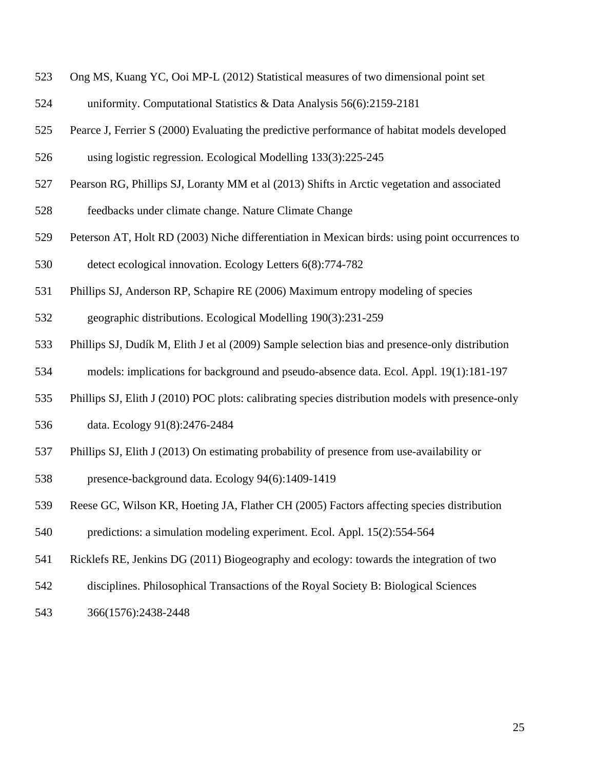- 523 Ong MS, Kuang YC, Ooi MP-L (2012) Statistical measures of two dimensional point set
- 524 uniformity. Computational Statistics & Data Analysis 56(6):2159-2181
- 525 Pearce J, Ferrier S (2000) Evaluating the predictive performance of habitat models developed
- 526 using logistic regression. Ecological Modelling 133(3):225-245
- 527 Pearson RG, Phillips SJ, Loranty MM et al (2013) Shifts in Arctic vegetation and associated
- 528 feedbacks under climate change. Nature Climate Change
- 529 Peterson AT, Holt RD (2003) Niche differentiation in Mexican birds: using point occurrences to 530 detect ecological innovation. Ecology Letters 6(8):774-782
- 531 Phillips SJ, Anderson RP, Schapire RE (2006) Maximum entropy modeling of species
- 532 geographic distributions. Ecological Modelling 190(3):231-259
- 533 Phillips SJ, Dudík M, Elith J et al (2009) Sample selection bias and presence-only distribution
- 534 models: implications for background and pseudo-absence data. Ecol. Appl. 19(1):181-197
- 535 Phillips SJ, Elith J (2010) POC plots: calibrating species distribution models with presence-only
- 536 data. Ecology 91(8):2476-2484
- 537 Phillips SJ, Elith J (2013) On estimating probability of presence from use-availability or
- 538 presence-background data. Ecology 94(6):1409-1419
- 539 Reese GC, Wilson KR, Hoeting JA, Flather CH (2005) Factors affecting species distribution
- 540 predictions: a simulation modeling experiment. Ecol. Appl. 15(2):554-564
- 541 Ricklefs RE, Jenkins DG (2011) Biogeography and ecology: towards the integration of two
- 542 disciplines. Philosophical Transactions of the Royal Society B: Biological Sciences
- 543 366(1576):2438-2448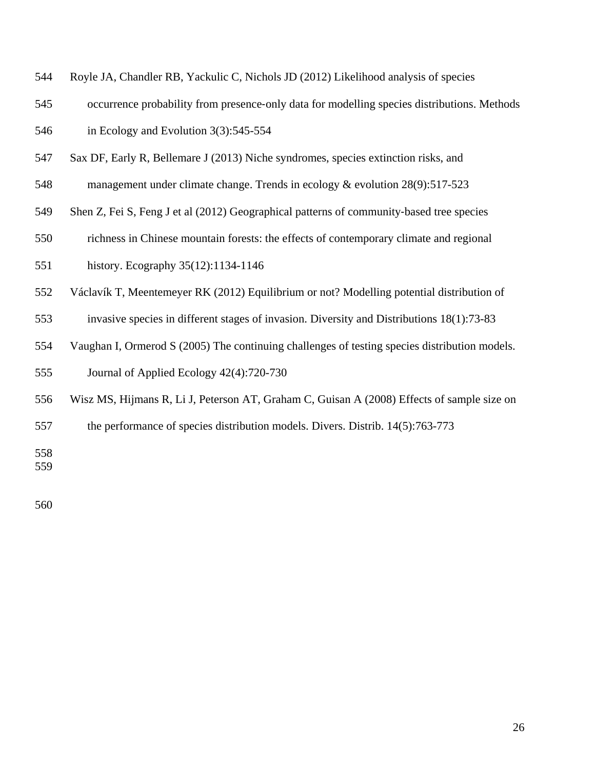| 544 |  | Royle JA, Chandler RB, Yackulic C, Nichols JD (2012) Likelihood analysis of species |  |  |  |  |  |  |
|-----|--|-------------------------------------------------------------------------------------|--|--|--|--|--|--|
|-----|--|-------------------------------------------------------------------------------------|--|--|--|--|--|--|

- 545 occurrence probability from presence-only data for modelling species distributions. Methods 546 in Ecology and Evolution 3(3):545-554
- 547 Sax DF, Early R, Bellemare J (2013) Niche syndromes, species extinction risks, and
- 548 management under climate change. Trends in ecology & evolution 28(9):517-523
- 549 Shen Z, Fei S, Feng J et al (2012) Geographical patterns of community-based tree species
- 550 richness in Chinese mountain forests: the effects of contemporary climate and regional
- 551 history. Ecography 35(12):1134-1146
- 552 Václavík T, Meentemeyer RK (2012) Equilibrium or not? Modelling potential distribution of
- 553 invasive species in different stages of invasion. Diversity and Distributions 18(1):73-83
- 554 Vaughan I, Ormerod S (2005) The continuing challenges of testing species distribution models. 555 Journal of Applied Ecology 42(4):720-730
- 556 Wisz MS, Hijmans R, Li J, Peterson AT, Graham C, Guisan A (2008) Effects of sample size on
- 557 the performance of species distribution models. Divers. Distrib. 14(5):763-773

559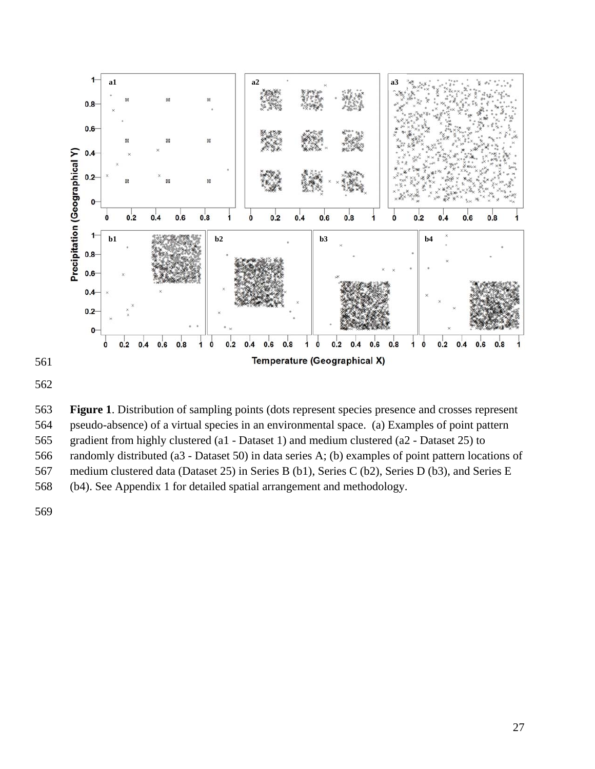

563 **Figure 1**. Distribution of sampling points (dots represent species presence and crosses represent 564 pseudo-absence) of a virtual species in an environmental space. (a) Examples of point pattern 565 gradient from highly clustered (a1 - Dataset 1) and medium clustered (a2 - Dataset 25) to 566 randomly distributed (a3 - Dataset 50) in data series A; (b) examples of point pattern locations of 567 medium clustered data (Dataset 25) in Series B (b1), Series C (b2), Series D (b3), and Series E 568 (b4). See Appendix 1 for detailed spatial arrangement and methodology.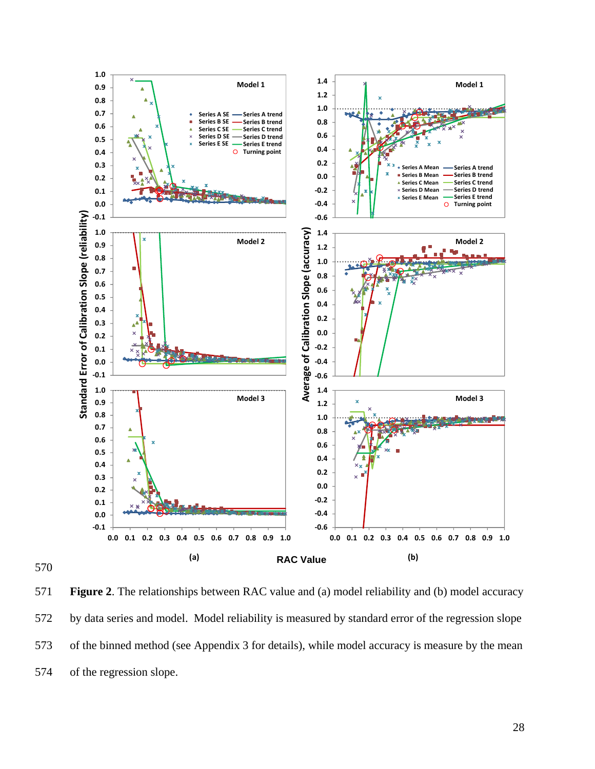

570

571 **Figure 2**. The relationships between RAC value and (a) model reliability and (b) model accuracy 572 by data series and model. Model reliability is measured by standard error of the regression slope 573 of the binned method (see Appendix 3 for details), while model accuracy is measure by the mean 574 of the regression slope.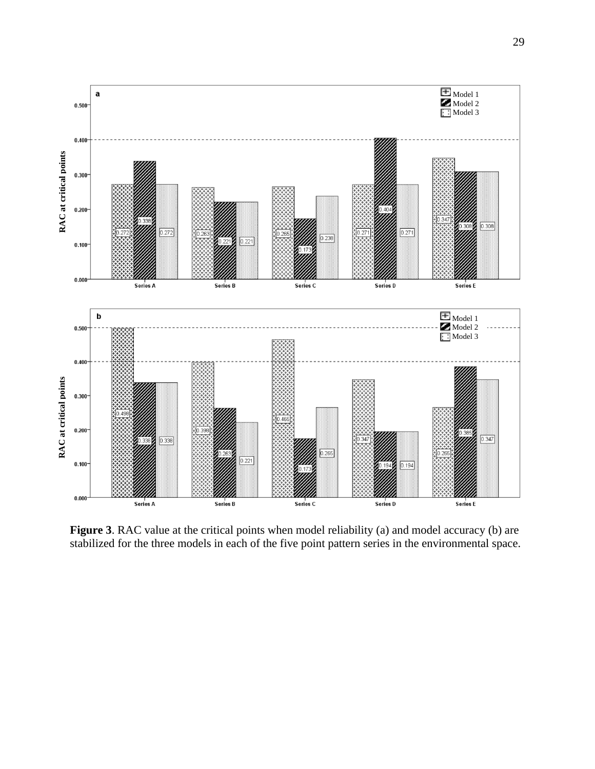

Figure 3. RAC value at the critical points when model reliability (a) and model accuracy (b) are stabilized for the three models in each of the five point pattern series in the environmental space.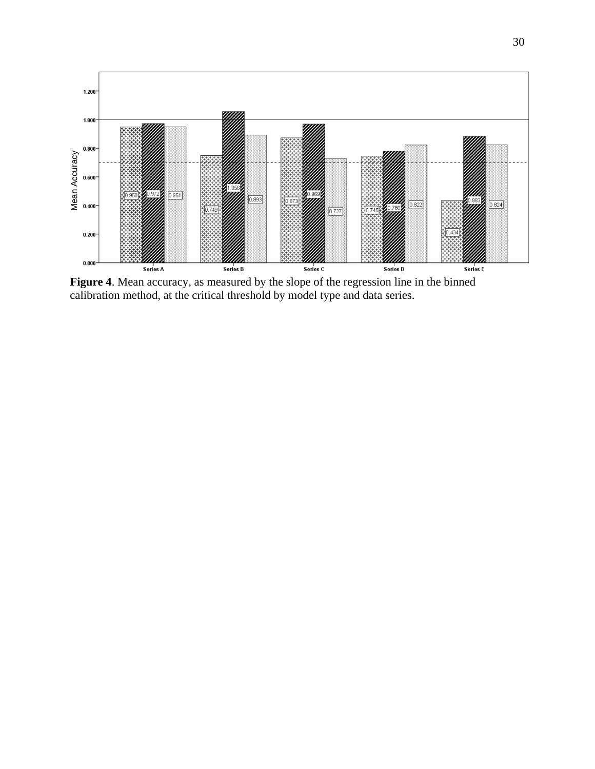

**Figure 4**. Mean accuracy, as measured by the slope of the regression line in the binned calibration method, at the critical threshold by model type and data series.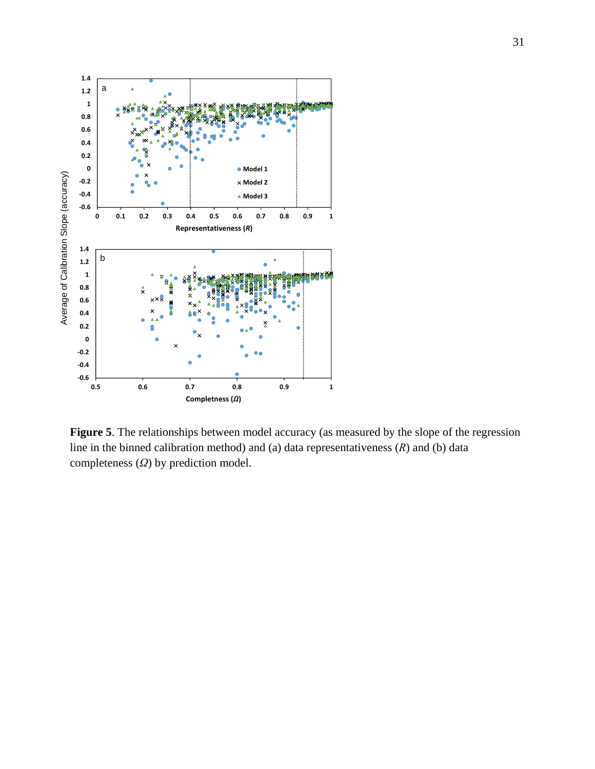

**Figure 5**. The relationships between model accuracy (as measured by the slope of the regression line in the binned calibration method) and (a) data representativeness (*R*) and (b) data completeness (*Ω*) by prediction model.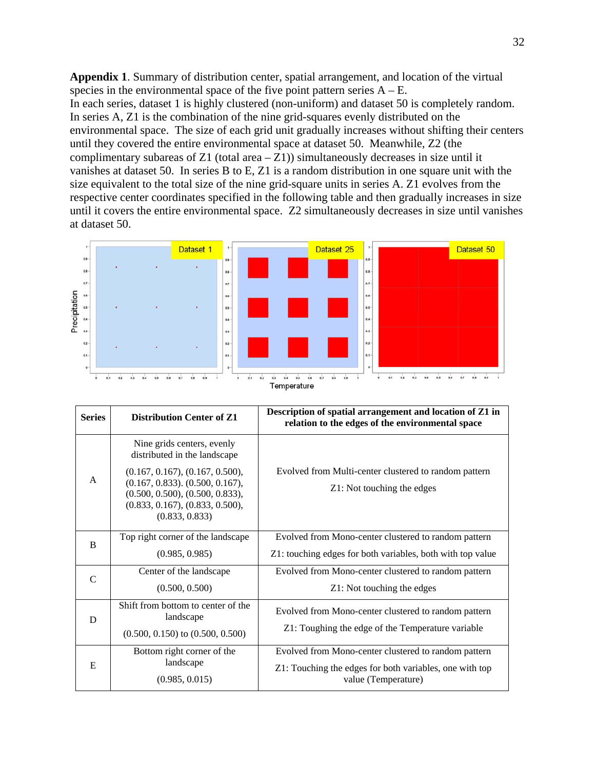**Appendix 1**. Summary of distribution center, spatial arrangement, and location of the virtual species in the environmental space of the five point pattern series  $A - E$ . In each series, dataset 1 is highly clustered (non-uniform) and dataset 50 is completely random. In series A, Z1 is the combination of the nine grid-squares evenly distributed on the environmental space. The size of each grid unit gradually increases without shifting their centers until they covered the entire environmental space at dataset 50. Meanwhile, Z2 (the complimentary subareas of Z1 (total area  $-$  Z1)) simultaneously decreases in size until it vanishes at dataset 50. In series B to E, Z1 is a random distribution in one square unit with the size equivalent to the total size of the nine grid-square units in series A. Z1 evolves from the respective center coordinates specified in the following table and then gradually increases in size until it covers the entire environmental space. Z2 simultaneously decreases in size until vanishes at dataset 50.



| <b>Series</b> | <b>Distribution Center of Z1</b>                                                                                                                                 | Description of spatial arrangement and location of Z1 in<br>relation to the edges of the environmental space                           |
|---------------|------------------------------------------------------------------------------------------------------------------------------------------------------------------|----------------------------------------------------------------------------------------------------------------------------------------|
|               | Nine grids centers, evenly<br>distributed in the landscape                                                                                                       |                                                                                                                                        |
| $\mathsf{A}$  | (0.167, 0.167), (0.167, 0.500),<br>$(0.167, 0.833)$ . $(0.500, 0.167)$ ,<br>(0.500, 0.500), (0.500, 0.833),<br>(0.833, 0.167), (0.833, 0.500),<br>(0.833, 0.833) | Evolved from Multi-center clustered to random pattern<br>Z1: Not touching the edges                                                    |
| B             | Top right corner of the landscape<br>(0.985, 0.985)                                                                                                              | Evolved from Mono-center clustered to random pattern<br>Z1: touching edges for both variables, both with top value                     |
| $\mathcal{C}$ | Center of the landscape<br>(0.500, 0.500)                                                                                                                        | Evolved from Mono-center clustered to random pattern<br>Z1: Not touching the edges                                                     |
| D             | Shift from bottom to center of the<br>landscape<br>$(0.500, 0.150)$ to $(0.500, 0.500)$                                                                          | Evolved from Mono-center clustered to random pattern<br>Z1: Toughing the edge of the Temperature variable                              |
| E             | Bottom right corner of the<br>landscape<br>(0.985, 0.015)                                                                                                        | Evolved from Mono-center clustered to random pattern<br>Z1: Touching the edges for both variables, one with top<br>value (Temperature) |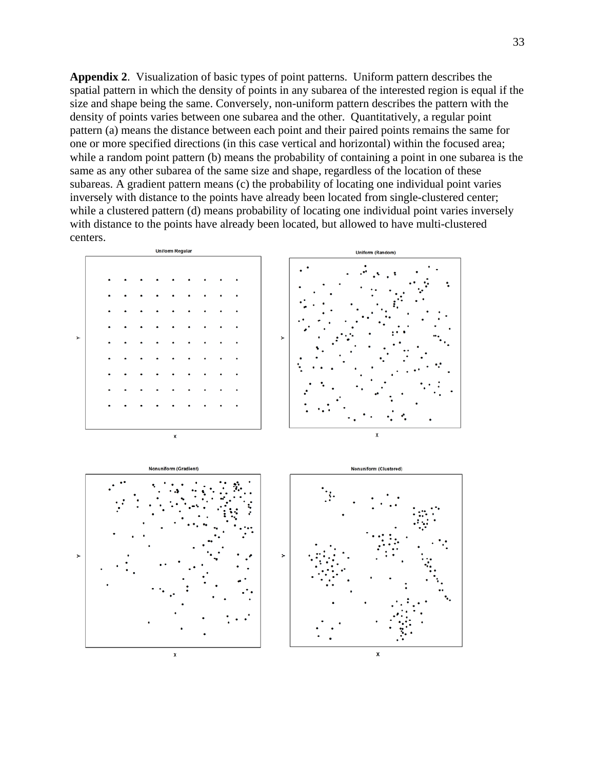**Appendix 2**. Visualization of basic types of point patterns. Uniform pattern describes the spatial pattern in which the density of points in any subarea of the interested region is equal if the size and shape being the same. Conversely, non-uniform pattern describes the pattern with the density of points varies between one subarea and the other. Quantitatively, a regular point pattern (a) means the distance between each point and their paired points remains the same for one or more specified directions (in this case vertical and horizontal) within the focused area; while a random point pattern (b) means the probability of containing a point in one subarea is the same as any other subarea of the same size and shape, regardless of the location of these subareas. A gradient pattern means (c) the probability of locating one individual point varies inversely with distance to the points have already been located from single-clustered center; while a clustered pattern (d) means probability of locating one individual point varies inversely with distance to the points have already been located, but allowed to have multi-clustered centers.





x

 $\pmb{\mathsf{x}}$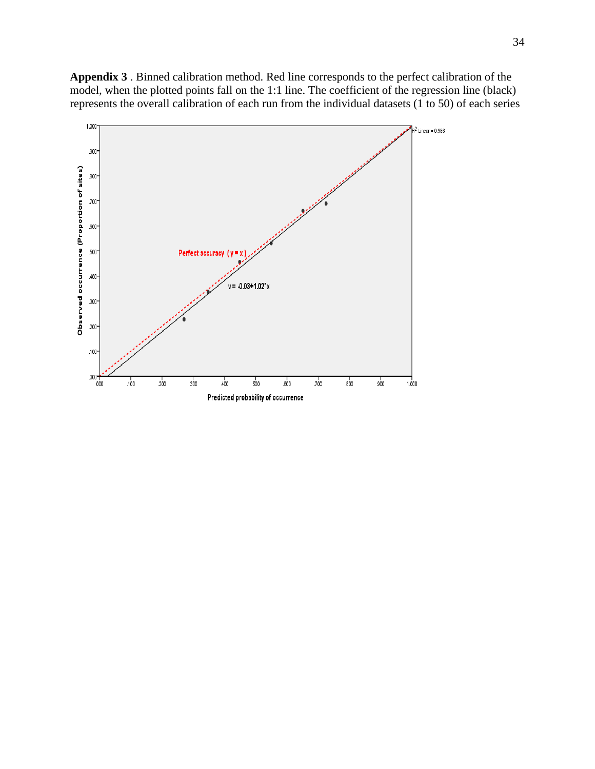**Appendix 3** . Binned calibration method. Red line corresponds to the perfect calibration of the model, when the plotted points fall on the 1:1 line. The coefficient of the regression line (black) represents the overall calibration of each run from the individual datasets (1 to 50) of each series